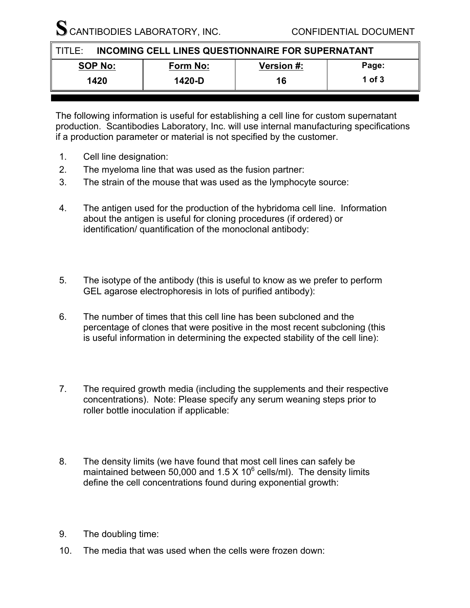**CANTIBODIES LABORATORY, INC. CONFIDENTIAL DOCUMENT** 

| <b>INCOMING CELL LINES QUESTIONNAIRE FOR SUPERNATANT</b><br>TITLE |          |                   |        |  |
|-------------------------------------------------------------------|----------|-------------------|--------|--|
| <b>SOP No:</b>                                                    | Form No: | <b>Version #:</b> | Page:  |  |
| 1420                                                              | 1420-D   | 16                | 1 of 3 |  |

The following information is useful for establishing a cell line for custom supernatant production. Scantibodies Laboratory, Inc. will use internal manufacturing specifications if a production parameter or material is not specified by the customer.

- 1. Cell line designation:
- 2. The myeloma line that was used as the fusion partner:
- 3. The strain of the mouse that was used as the lymphocyte source:
- 4. The antigen used for the production of the hybridoma cell line. Information about the antigen is useful for cloning procedures (if ordered) or identification/ quantification of the monoclonal antibody:
- 5. The isotype of the antibody (this is useful to know as we prefer to perform GEL agarose electrophoresis in lots of purified antibody):
- 6. The number of times that this cell line has been subcloned and the percentage of clones that were positive in the most recent subcloning (this is useful information in determining the expected stability of the cell line):
- 7. The required growth media (including the supplements and their respective concentrations). Note: Please specify any serum weaning steps prior to roller bottle inoculation if applicable:
- 8. The density limits (we have found that most cell lines can safely be maintained between 50,000 and 1.5 X 10 $^6$  cells/ml). The density limits define the cell concentrations found during exponential growth:
- 9. The doubling time:
- 10. The media that was used when the cells were frozen down: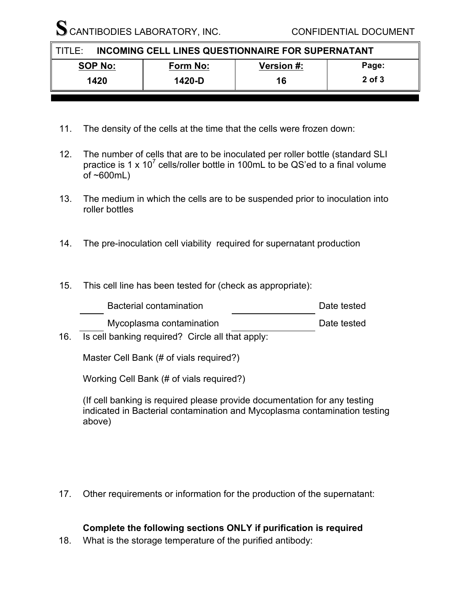SCANTIBODIES LABORATORY, INC. CONFIDENTIAL DOCUMENT

| INCOMING CELL LINES QUESTIONNAIRE FOR SUPERNATANT<br>II TITI F* |          |                   |        |
|-----------------------------------------------------------------|----------|-------------------|--------|
| <b>SOP No:</b>                                                  | Form No: | <b>Version #:</b> | Page:  |
| 1420                                                            | 1420-D   | 16                | 2 of 3 |

- 11. The density of the cells at the time that the cells were frozen down:
- 12. The number of cells that are to be inoculated per roller bottle (standard SLI practice is 1 x 10<sup>7</sup> cells/roller bottle in 100mL to be QS'ed to a final volume of  $~600$ mL)
- 13. The medium in which the cells are to be suspended prior to inoculation into roller bottles
- 14. The pre-inoculation cell viability required for supernatant production
- 15. This cell line has been tested for (check as appropriate):

| <b>Bacterial contamination</b>                                                      | Date tested |
|-------------------------------------------------------------------------------------|-------------|
| Mycoplasma contamination<br>$\sim$ $\sim$ $\sim$ $\sim$ $\sim$ $\sim$ $\sim$ $\sim$ | Date tested |

16. Is cell banking required? Circle all that apply:

Master Cell Bank (# of vials required?)

Working Cell Bank (# of vials required?)

(If cell banking is required please provide documentation for any testing indicated in Bacterial contamination and Mycoplasma contamination testing above)

17. Other requirements or information for the production of the supernatant:

## **Complete the following sections ONLY if purification is required**

18. What is the storage temperature of the purified antibody: